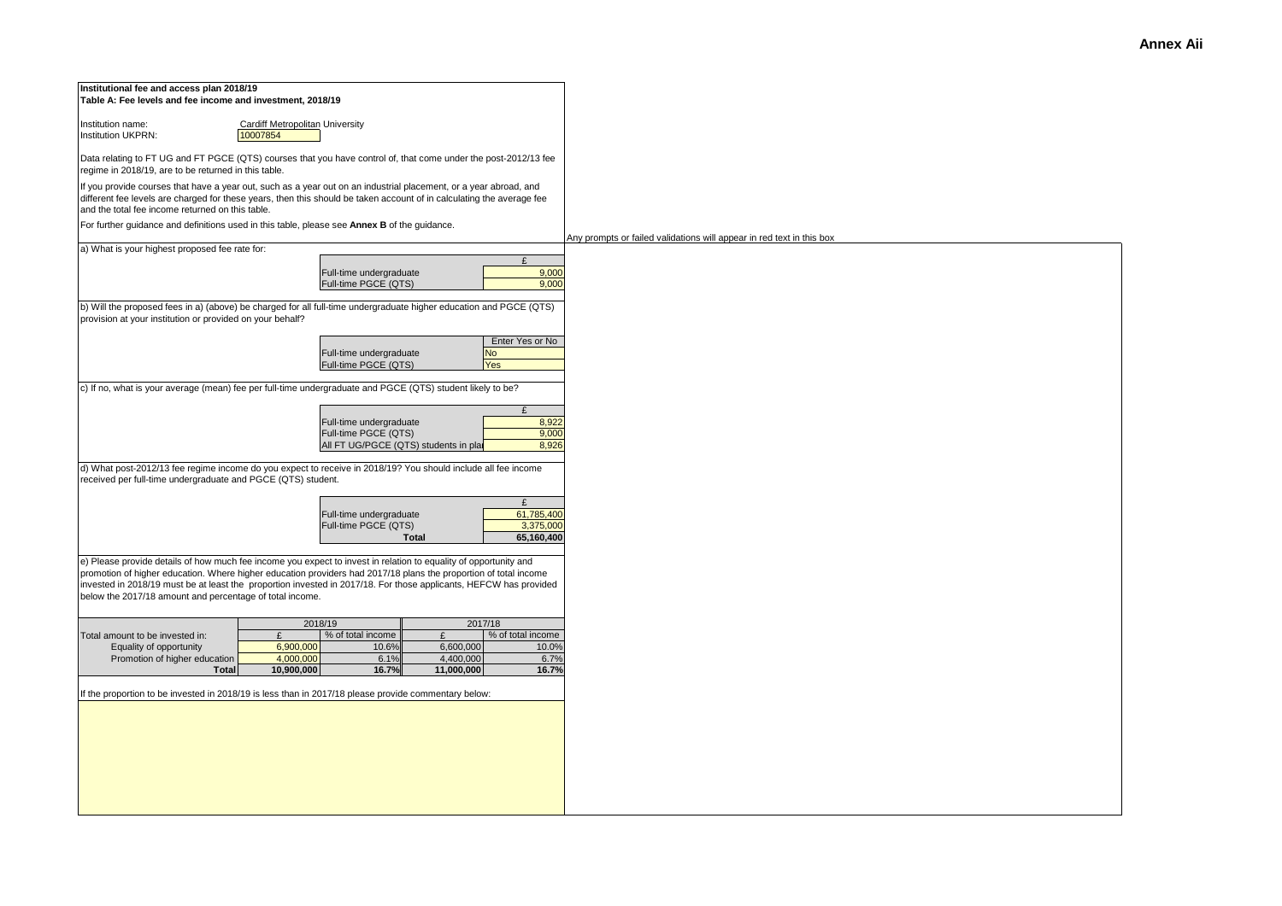| Institutional fee and access plan 2018/19<br>Table A: Fee levels and fee income and investment, 2018/19                                                                                                                                                                                                                                                                                                               |                                                                       |
|-----------------------------------------------------------------------------------------------------------------------------------------------------------------------------------------------------------------------------------------------------------------------------------------------------------------------------------------------------------------------------------------------------------------------|-----------------------------------------------------------------------|
| Institution name:<br>Cardiff Metropolitan University<br>10007854<br>Institution UKPRN:                                                                                                                                                                                                                                                                                                                                |                                                                       |
| Data relating to FT UG and FT PGCE (QTS) courses that you have control of, that come under the post-2012/13 fee<br>regime in 2018/19, are to be returned in this table.                                                                                                                                                                                                                                               |                                                                       |
| If you provide courses that have a year out, such as a year out on an industrial placement, or a year abroad, and<br>different fee levels are charged for these years, then this should be taken account of in calculating the average fee<br>and the total fee income returned on this table.                                                                                                                        |                                                                       |
| For further guidance and definitions used in this table, please see Annex B of the guidance.                                                                                                                                                                                                                                                                                                                          | Any prompts or failed validations will appear in red text in this box |
| a) What is your highest proposed fee rate for:<br>£                                                                                                                                                                                                                                                                                                                                                                   |                                                                       |
| 9,000<br>Full-time undergraduate<br>Full-time PGCE (QTS)<br>9,000                                                                                                                                                                                                                                                                                                                                                     |                                                                       |
| b) Will the proposed fees in a) (above) be charged for all full-time undergraduate higher education and PGCE (QTS)<br>provision at your institution or provided on your behalf?                                                                                                                                                                                                                                       |                                                                       |
| Enter Yes or No<br>Full-time undergraduate<br><b>No</b><br>Full-time PGCE (QTS)<br><b>Yes</b>                                                                                                                                                                                                                                                                                                                         |                                                                       |
| c) If no, what is your average (mean) fee per full-time undergraduate and PGCE (QTS) student likely to be?                                                                                                                                                                                                                                                                                                            |                                                                       |
| $\mathbf{f}$<br>Full-time undergraduate<br>8,922<br>Full-time PGCE (QTS)<br>9,000<br>8.926<br>All FT UG/PGCE (QTS) students in plat                                                                                                                                                                                                                                                                                   |                                                                       |
| d) What post-2012/13 fee regime income do you expect to receive in 2018/19? You should include all fee income<br>received per full-time undergraduate and PGCE (QTS) student.                                                                                                                                                                                                                                         |                                                                       |
| £<br>61,785,400<br>Full-time undergraduate<br>Full-time PGCE (QTS)<br>3,375,000<br>65,160,400<br><b>Total</b>                                                                                                                                                                                                                                                                                                         |                                                                       |
| e) Please provide details of how much fee income you expect to invest in relation to equality of opportunity and<br>promotion of higher education. Where higher education providers had 2017/18 plans the proportion of total income<br>invested in 2018/19 must be at least the proportion invested in 2017/18. For those applicants, HEFCW has provided<br>below the 2017/18 amount and percentage of total income. |                                                                       |
| 2018/19<br>2017/18<br>% of total income<br>% of total income<br>Total amount to be invested in:<br>£<br>£<br>6,900,000<br>Equality of opportunity<br>10.6%<br>6,600,000<br>10.0%<br>4,000,000<br>6.1%<br>4,400,000<br>6.7%<br>Promotion of higher education<br>10,900,000<br>16.7%<br>11,000,000<br>16.7%<br><b>Total</b>                                                                                             |                                                                       |
| If the proportion to be invested in 2018/19 is less than in 2017/18 please provide commentary below:                                                                                                                                                                                                                                                                                                                  |                                                                       |
|                                                                                                                                                                                                                                                                                                                                                                                                                       |                                                                       |
|                                                                                                                                                                                                                                                                                                                                                                                                                       |                                                                       |
|                                                                                                                                                                                                                                                                                                                                                                                                                       |                                                                       |
|                                                                                                                                                                                                                                                                                                                                                                                                                       |                                                                       |
|                                                                                                                                                                                                                                                                                                                                                                                                                       |                                                                       |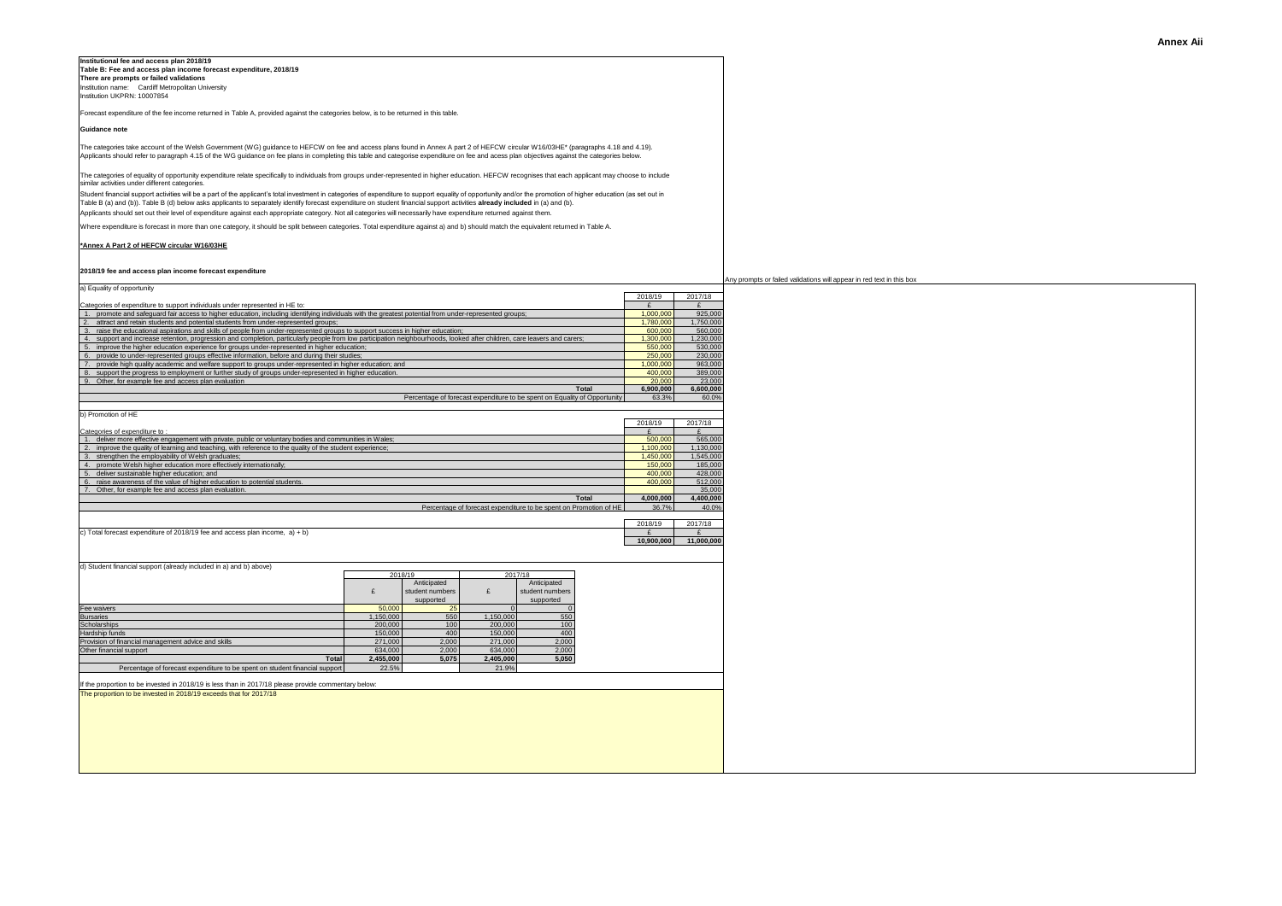### **Institutional fee and access plan 2018/19 Table B: Fee and access plan income forecast expenditure, 2018/19 There are prompts or failed validations**

Institution name: Cardiff Metropolitan University Institution UKPRN: 10007854

Forecast expenditure of the fee income returned in Table A, provided against the categories below, is to be returned in this table.

# **Guidance note**

The categories take account of the Welsh Government (WG) guidance to HEFCW on fee and access plans found in Annex A part 2 of HEFCW circular W16/03HE\* (paragraphs 4.18 and 4.19). Applicants should refer to paragraph 4.15 of the WG guidance on fee plans in completing this table and categorise expenditure on fee and acess plan objectives against the categories below.

The categories of equality of opportunity expenditure relate specifically to individuals from groups under-represented in higher education. HEFCW recognises that each applicant may choose to include similar activities under different categories.

Student financial suport activities will be a part of the applicant's total investment in categories of expenditure to support equality of opportunity and/or the promotion (as set out in<br>Table B (a) and (b)). Table B (d) b Applicants should set out their level of expenditure against each appropriate category. Not all categories will necessarily have expenditure returned against them.

Where expenditure is forecast in more than one category, it should be split between categories. Total expenditure against a) and b) should match the equivalent returned in Table A.

# **[\\*Ann](http://www.hefcw.ac.uk/documents/publications/circulars/circulars_2016/W16 03HE Annex A Part 2 Guidance to HEFCW on Fee and Access Plans.pdf)ex A Part 2 of HEFCW circular W16/03HE**

## **2018/19 fee and access plan income forecast expenditure**

|                                                                                                                                                                                                                                        |                                                                                             |                 |           |                                                                   |                |              | Any prompts or failed validations will appear in red text in this bo |  |  |  |  |
|----------------------------------------------------------------------------------------------------------------------------------------------------------------------------------------------------------------------------------------|---------------------------------------------------------------------------------------------|-----------------|-----------|-------------------------------------------------------------------|----------------|--------------|----------------------------------------------------------------------|--|--|--|--|
| a) Equality of opportunity                                                                                                                                                                                                             |                                                                                             |                 |           |                                                                   |                |              |                                                                      |  |  |  |  |
|                                                                                                                                                                                                                                        |                                                                                             |                 |           |                                                                   | 2018/19        | 2017/18      |                                                                      |  |  |  |  |
| Categories of expenditure to support individuals under represented in HE to:<br>1. promote and safequard fair access to higher education, including identifying individuals with the greatest potential from under-represented groups; |                                                                                             |                 |           |                                                                   | £<br>1,000,000 | £<br>925,000 |                                                                      |  |  |  |  |
| 2. attract and retain students and potential students from under-represented groups;                                                                                                                                                   |                                                                                             |                 |           |                                                                   | 1,780,000      | 1,750,000    |                                                                      |  |  |  |  |
| raise the educational aspirations and skills of people from under-represented groups to support success in higher education;<br>3.                                                                                                     |                                                                                             |                 |           |                                                                   | 600,000        | 560,000      |                                                                      |  |  |  |  |
| support and increase retention, progression and completion, particularly people from low participation neighbourhoods, looked after children, care leavers and carers;<br>4.                                                           |                                                                                             |                 |           |                                                                   | 1.300.000      | 1.230.000    |                                                                      |  |  |  |  |
| 5.                                                                                                                                                                                                                                     | improve the higher education experience for groups under-represented in higher education;   |                 |           |                                                                   |                |              |                                                                      |  |  |  |  |
| 6.                                                                                                                                                                                                                                     | provide to under-represented groups effective information, before and during their studies; |                 |           |                                                                   |                |              |                                                                      |  |  |  |  |
| 7. provide high quality academic and welfare support to groups under-represented in higher education; and                                                                                                                              | 1.000.000                                                                                   | 963,000         |           |                                                                   |                |              |                                                                      |  |  |  |  |
| 8. support the progress to employment or further study of groups under-represented in higher education.                                                                                                                                | 400,000                                                                                     | 389,000         |           |                                                                   |                |              |                                                                      |  |  |  |  |
| 9. Other, for example fee and access plan evaluation                                                                                                                                                                                   | 20,000                                                                                      | 23,000          |           |                                                                   |                |              |                                                                      |  |  |  |  |
|                                                                                                                                                                                                                                        | 6,900,000                                                                                   | 6,600,000       |           |                                                                   |                |              |                                                                      |  |  |  |  |
|                                                                                                                                                                                                                                        | Percentage of forecast expenditure to be spent on Equality of Opportunity<br>63.3%          | 60.0%           |           |                                                                   |                |              |                                                                      |  |  |  |  |
| b) Promotion of HE                                                                                                                                                                                                                     |                                                                                             |                 |           |                                                                   |                |              |                                                                      |  |  |  |  |
|                                                                                                                                                                                                                                        |                                                                                             |                 |           |                                                                   | 2018/19        | 2017/18      |                                                                      |  |  |  |  |
| Categories of expenditure to:                                                                                                                                                                                                          |                                                                                             |                 |           |                                                                   | £              | £            |                                                                      |  |  |  |  |
| 1. deliver more effective engagement with private, public or voluntary bodies and communities in Wales;                                                                                                                                |                                                                                             |                 |           |                                                                   | 500,000        | 565,000      |                                                                      |  |  |  |  |
| improve the quality of learning and teaching, with reference to the quality of the student experience;<br>2.                                                                                                                           |                                                                                             |                 |           |                                                                   | 1.100.000      | 1.130.000    |                                                                      |  |  |  |  |
| strengthen the employability of Welsh graduates;<br>3.                                                                                                                                                                                 |                                                                                             |                 |           |                                                                   | 1,450,000      | 1,545,000    |                                                                      |  |  |  |  |
| 4. promote Welsh higher education more effectively internationally;                                                                                                                                                                    |                                                                                             |                 |           |                                                                   | 150,000        | 185,000      |                                                                      |  |  |  |  |
| deliver sustainable higher education; and<br>5.                                                                                                                                                                                        |                                                                                             |                 |           |                                                                   | 400,000        | 428,000      |                                                                      |  |  |  |  |
| raise awareness of the value of higher education to potential students.<br>6.                                                                                                                                                          |                                                                                             |                 |           |                                                                   | 400,000        | 512,000      |                                                                      |  |  |  |  |
| 7. Other, for example fee and access plan evaluation.                                                                                                                                                                                  |                                                                                             |                 |           |                                                                   |                | 35,000       |                                                                      |  |  |  |  |
|                                                                                                                                                                                                                                        |                                                                                             |                 |           | Total                                                             | 4.000.000      | 4.400.000    |                                                                      |  |  |  |  |
|                                                                                                                                                                                                                                        |                                                                                             |                 |           | Percentage of forecast expenditure to be spent on Promotion of HE | 36.7%          | 40.0%        |                                                                      |  |  |  |  |
|                                                                                                                                                                                                                                        |                                                                                             |                 |           |                                                                   |                |              |                                                                      |  |  |  |  |
|                                                                                                                                                                                                                                        |                                                                                             |                 |           |                                                                   | 2018/19        | 2017/18      |                                                                      |  |  |  |  |
| c) Total forecast expenditure of 2018/19 fee and access plan income, $a$ ) + b)                                                                                                                                                        |                                                                                             |                 |           |                                                                   | £              | $\mathbf{f}$ |                                                                      |  |  |  |  |
|                                                                                                                                                                                                                                        |                                                                                             |                 |           |                                                                   | 10.900.000     | 11.000.000   |                                                                      |  |  |  |  |
|                                                                                                                                                                                                                                        |                                                                                             |                 |           |                                                                   |                |              |                                                                      |  |  |  |  |
| d) Student financial support (already included in a) and b) above)                                                                                                                                                                     |                                                                                             |                 |           |                                                                   |                |              |                                                                      |  |  |  |  |
|                                                                                                                                                                                                                                        |                                                                                             | 2018/19         |           | 2017/18                                                           |                |              |                                                                      |  |  |  |  |
|                                                                                                                                                                                                                                        |                                                                                             | Anticipated     |           | Anticipated                                                       |                |              |                                                                      |  |  |  |  |
|                                                                                                                                                                                                                                        | £                                                                                           | student numbers | £         | student numbers                                                   |                |              |                                                                      |  |  |  |  |
|                                                                                                                                                                                                                                        |                                                                                             | supported       |           | supported                                                         |                |              |                                                                      |  |  |  |  |
| Fee waivers                                                                                                                                                                                                                            | 50,000                                                                                      | 25              | $\Omega$  | $\Omega$                                                          |                |              |                                                                      |  |  |  |  |
| <b>Bursaries</b>                                                                                                                                                                                                                       | 1.150.000                                                                                   | 550             | 1.150.000 | 550                                                               |                |              |                                                                      |  |  |  |  |
| Scholarships                                                                                                                                                                                                                           | 200,000                                                                                     | 100             | 200,000   | 100                                                               |                |              |                                                                      |  |  |  |  |
| Hardship funds                                                                                                                                                                                                                         | 150,000                                                                                     | 400             | 150,000   | 400                                                               |                |              |                                                                      |  |  |  |  |
| Provision of financial management advice and skills                                                                                                                                                                                    | 271.000                                                                                     | 2.000           | 271.000   | 2.000                                                             |                |              |                                                                      |  |  |  |  |
| Other financial support                                                                                                                                                                                                                | 634,000                                                                                     | 2.000           | 634,000   | 2,000                                                             |                |              |                                                                      |  |  |  |  |
| Total                                                                                                                                                                                                                                  | 2,455,000                                                                                   | 5,075           | 2,405,000 | 5,050                                                             |                |              |                                                                      |  |  |  |  |
| Percentage of forecast expenditure to be spent on student financial support                                                                                                                                                            | 22.5%                                                                                       |                 | 21.9%     |                                                                   |                |              |                                                                      |  |  |  |  |
|                                                                                                                                                                                                                                        |                                                                                             |                 |           |                                                                   |                |              |                                                                      |  |  |  |  |
| If the proportion to be invested in 2018/19 is less than in 2017/18 please provide commentary below:                                                                                                                                   |                                                                                             |                 |           |                                                                   |                |              |                                                                      |  |  |  |  |
| The proportion to be invested in 2018/19 exceeds that for 2017/18                                                                                                                                                                      |                                                                                             |                 |           |                                                                   |                |              |                                                                      |  |  |  |  |
|                                                                                                                                                                                                                                        |                                                                                             |                 |           |                                                                   |                |              |                                                                      |  |  |  |  |
|                                                                                                                                                                                                                                        |                                                                                             |                 |           |                                                                   |                |              |                                                                      |  |  |  |  |
|                                                                                                                                                                                                                                        |                                                                                             |                 |           |                                                                   |                |              |                                                                      |  |  |  |  |
|                                                                                                                                                                                                                                        |                                                                                             |                 |           |                                                                   |                |              |                                                                      |  |  |  |  |
|                                                                                                                                                                                                                                        |                                                                                             |                 |           |                                                                   |                |              |                                                                      |  |  |  |  |
|                                                                                                                                                                                                                                        |                                                                                             |                 |           |                                                                   |                |              |                                                                      |  |  |  |  |
|                                                                                                                                                                                                                                        |                                                                                             |                 |           |                                                                   |                |              |                                                                      |  |  |  |  |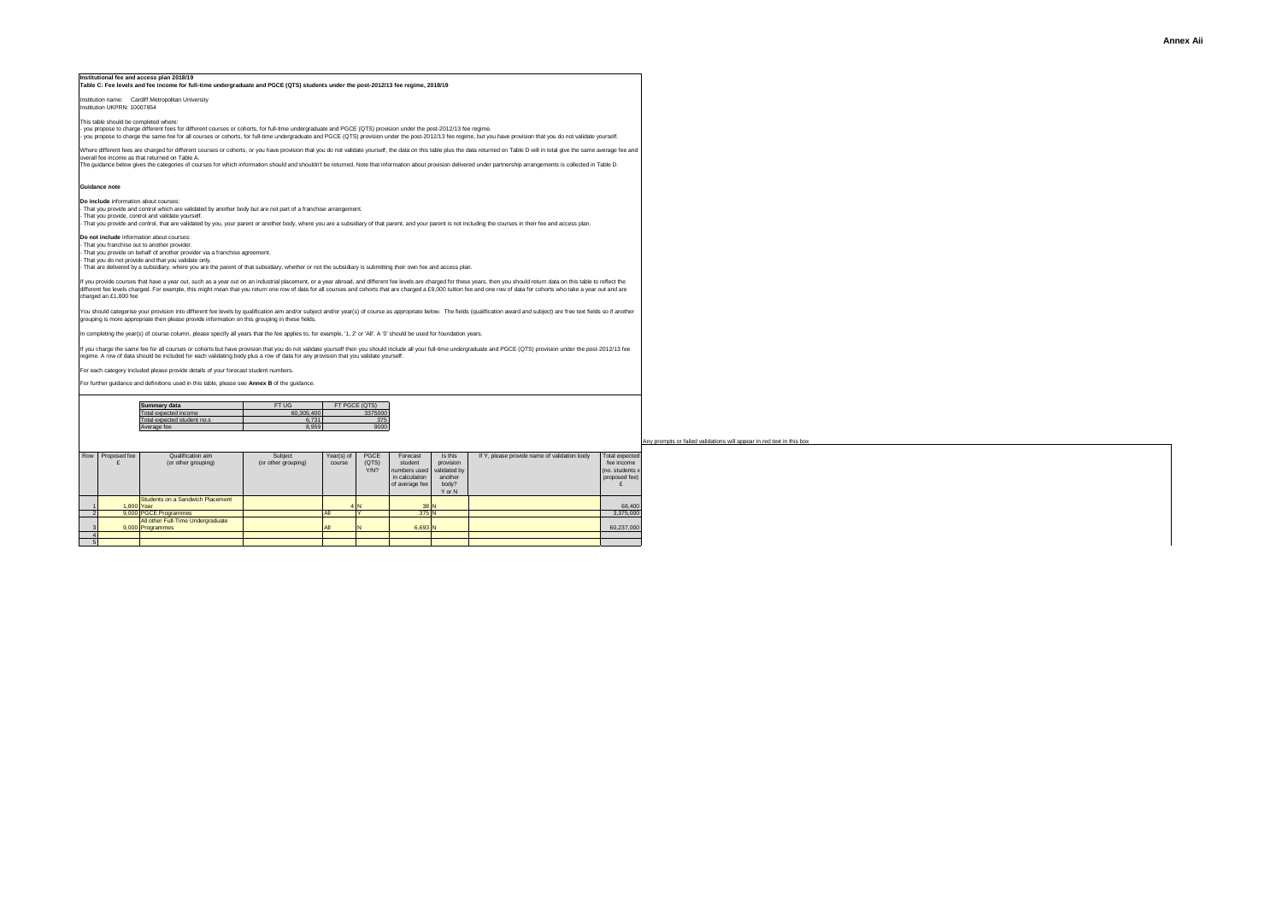#### **Institutional fee and access plan 2018/19 Table C: Fee levels and fee income for full-time undergraduate and PGCE (QTS) students under the post-2012/13 fee regime, 2018/19**

Institution name: Cardiff Metropolitan University

Institution UKPRN: 10007854

This table should be completed where:

rms races shound be completed writtle.<br>- you propose to charge different fees for different courses or cohorts, for full-time undergraduate and PGCE (QTS) provision under the post-2012/13 fee regime. - you propose to charge the same fee for all courses or cohorts, for full-time undergraduate and PGCE (QTS) provision under the post-2012/13 fee regime, but you have provision that you do not validate yourself.

Where different fees are charged for different courses or cohorts, or you have provision that you do not validate yourself, the data on this table plus the data returned on Table D will in total give the same average fee a

The guidance below gives the categories of courses for which information should and shouldn't be returned. Note that information about provision delivered under partnership arrangements is collected in Table D.

### **Guidance note**

**Do include** information about courses: - That you provide and control which are validated by another body but are not part of a franchise arrangement.

- That you provide, control and vaildate yourself.<br>- That you provide and control, that are validated by you, your parent or another body, where you are a subsidiary of that parent, and your parent is not including the cou

**Do not include** information about courses:

- That you franchise out to another provider. - That you provide on behalf of another provider via a franchise agreement.

That you do not provide and that you validate only.

- That are delivered by a subsidiary, where you are the parent of that subsidiary, whether or not the subsidiary is submitting their own fee and access plan.

If you provide courses that have a year out, such as industrial placement, or a year abroad, and different fee levels are charged for these years, then you should return data on this table to conside the visible of the sta charged an £1,800 fee

viou should categorise vour provision into different fee levels by qualification aim and/or subject and/or vear(s) of course as appropriate below. The fields (qualification award and subject) are free text fields so if ano grouping is more appropriate then please provide information on this grouping in these fields.

In completing the year(s) of course column, please specify all years that the fee applies to, for example, '1, 2' or 'All'. A '0' should be used for foundation years.

Il you charge the same fee for all courses or cohorts but have provision that you do not vaildate yoursell then you should include all your full-time undergraduate and PGCE (QTS) provision under the post-2012/13 fee<br>regim

For each category included please provide details of your forecast student numbers.

For further guidance and definitions used in this table, please see **Annex B** of the guidance.

| Summary data                | FT UG      | FT PGCE (QTS) |
|-----------------------------|------------|---------------|
| Total expected income       | 60.305.400 | 3375000       |
| Total expected student no.s | 6.731      | 375           |
| Average fee                 | 8.959      | 9000          |

| Row | Proposed fee | Qualification aim                 | Subject             | Year(s) of | PGCE  | Forecast       | Is this      | If Y, please provide name of validation body | Total expected  |
|-----|--------------|-----------------------------------|---------------------|------------|-------|----------------|--------------|----------------------------------------------|-----------------|
|     |              | (or other grouping)               | (or other grouping) | course     | (QTS) | student        | provision    |                                              | fee income      |
|     |              |                                   |                     |            | Y/N?  | numbers used   | validated by |                                              | (no. students x |
|     |              |                                   |                     |            |       | in calculation | another      |                                              | proposed fee)   |
|     |              |                                   |                     |            |       | of average fee | body?        |                                              |                 |
|     |              |                                   |                     |            |       |                | Y or N       |                                              |                 |
|     |              | Students on a Sandwich Placement  |                     |            |       |                |              |                                              |                 |
|     | 1.800 Year   |                                   |                     |            | 4N    | 38 N           |              |                                              | 68,400          |
|     |              | 9.000 PGCE Programmes             |                     | All        |       | 375 N          |              |                                              | 3,375,000       |
|     |              | All other Full-Time Undergraduate |                     |            |       |                |              |                                              |                 |
|     |              | 9.000 Programmes                  |                     | All        |       | 6.693 N        |              |                                              | 60,237,000      |
|     |              |                                   |                     |            |       |                |              |                                              |                 |
|     |              |                                   |                     |            |       |                |              |                                              |                 |

#### ots or failed validations will appear in red text in this box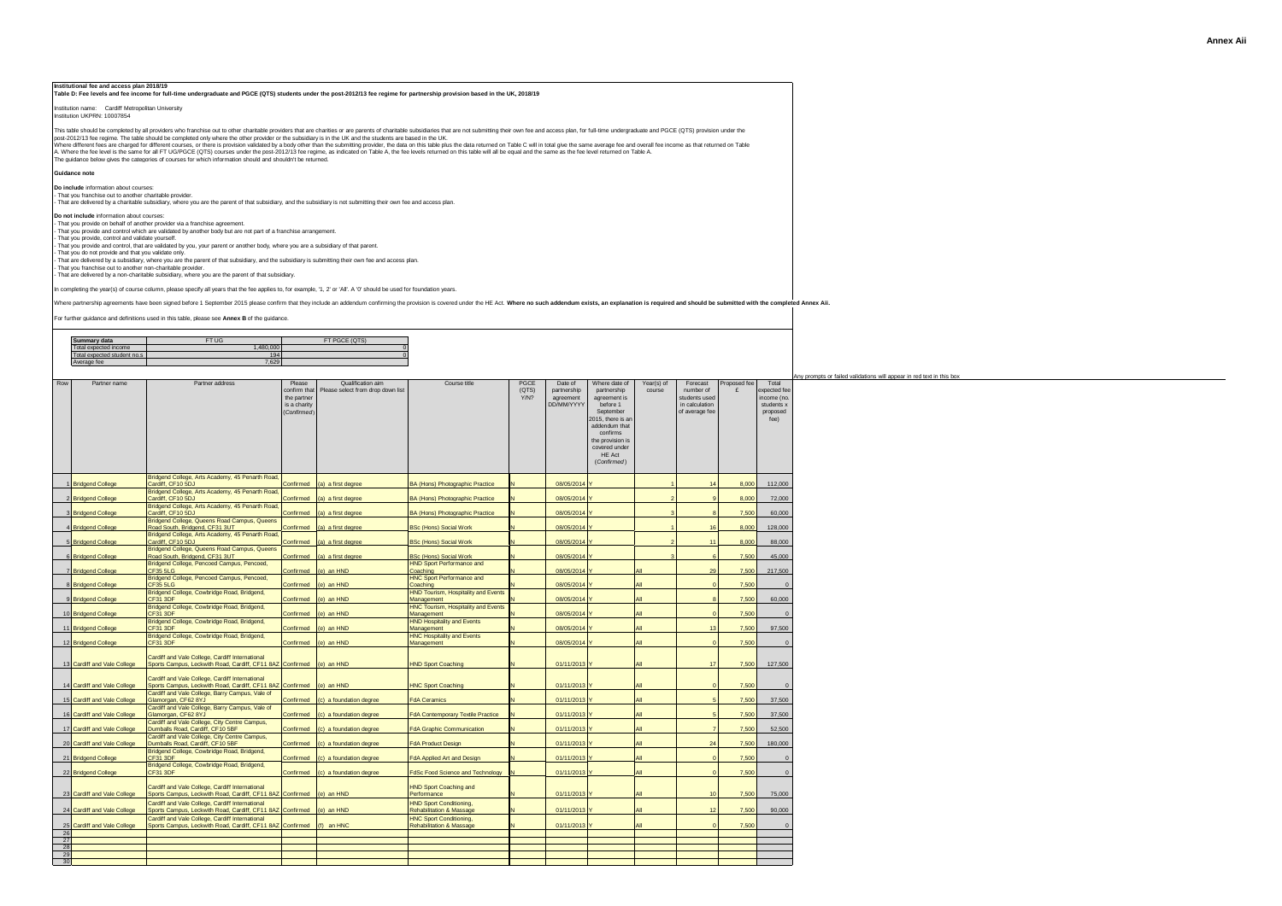ts or failed validations will appear in red text in this box

Institutional fee and access plan 2018/19<br>Table D: Fee levels and fee income for full-time undergraduate and PGCE (QTS) students under the post-2012/13 fee regime for partnership provision based in the UK, 2018/19

Institution name: Cardiff Metropolitan University Institution UKPRN: 10007854

The guidance below gives the categories of courses for which information should and shouldn't be returned. This table should be completed by all providers who franchise out to other charitable providers that are charities or are parents of charitable subsidiaries that are not submitting their own fee and access plan, for full-t post-2012/13 fee regime. The table should be completed only where the other provider or the subsidary is in the UK and the students are based in the UK.<br>Where differed fees are drawn on the state of the state of the intere

#### **Guidance note**

**Do include** information about courses:

- That you franchise out to another charitable provider.<br>- That are delivered by a charitable subsidiary, where you are the parent of that subsidiary, and the subsidiary is not submitting their own fee and access plan.

**Do not include** information about courses:

- That you provide on behalf of another provider via a franchise agreement.

- That you provide and control which are valicated by another body but are not part of a franchise arrangement.<br>- That you provide, control and validate yourself.<br>- That you do not provide and that you validate obyy.<br>- Tha

- That you do not provide and that you vandate only.<br>- That are delivered by a subsidiary, where you are the parent of that subsidiary, and the subsidiary is submitting their own fee and access plan.

**Need to sort this validation out**

- That you franchise out to another non-charitable provider. - That are delivered by a non-charitable subsidiary, where you are the parent of that subsidiary.

In completing the year(s) of course column, please specify all years that the fee applies to, for example, '1, 2' or 'All'. A '0' should be used for foundation years.

Where partnership agreements have been signed before 1 September 2015 please confirm that they include an addendum confirming the provision is covered under the HE Act. Where no such addendum exists, an explanation is requ

For further guidance and definitions used in this table, please see **Annex B** of the guidance.

| Summary data          | FT UG      |  |
|-----------------------|------------|--|
| pected income         | $\sqrt{2}$ |  |
| expected student no.s | 194        |  |
| .                     | 7.6291     |  |

| Row             | Partner name                               | Partner address                                                                                              | Please<br>confirm that<br>the partner<br>is a charity<br>(Confirmed) | Qualification aim<br>Please select from drop down list | Course title                                                      | <b>PGCE</b><br>(QTS)<br>Y/N? | Date of<br>partnership<br>agreement<br><b>DD/MM/YYYY</b> | Where date of<br>partnership<br>agreement is<br>before 1<br>September<br>2015, there is an<br>addendum that<br>confirms<br>the provision is<br>covered under<br><b>HE Act</b><br>(Confirmed) | Year(s) of<br>course | Forecast<br>number of<br>students used<br>in calculation<br>of average fee | Proposed fee<br>£ | Total<br>expected fee<br>income (no.<br>students x<br>proposed<br>fee |
|-----------------|--------------------------------------------|--------------------------------------------------------------------------------------------------------------|----------------------------------------------------------------------|--------------------------------------------------------|-------------------------------------------------------------------|------------------------------|----------------------------------------------------------|----------------------------------------------------------------------------------------------------------------------------------------------------------------------------------------------|----------------------|----------------------------------------------------------------------------|-------------------|-----------------------------------------------------------------------|
|                 |                                            | Bridgend College, Arts Academy, 45 Penarth Road,                                                             |                                                                      |                                                        |                                                                   |                              |                                                          |                                                                                                                                                                                              |                      |                                                                            |                   |                                                                       |
|                 | 1 Bridgend College                         | Cardiff, CF10 5DJ                                                                                            | Confirmed                                                            | (a) a first degree                                     | <b>BA (Hons) Photographic Practice</b>                            |                              | 08/05/2014 Y                                             |                                                                                                                                                                                              |                      | 14                                                                         | 8.000             | 112,000                                                               |
|                 | 2 Bridgend College                         | Bridgend College, Arts Academy, 45 Penarth Road,<br>Cardiff, CF10 5DJ                                        | Confirmed                                                            | (a) a first degree                                     | BA (Hons) Photographic Practice                                   | N                            | 08/05/2014 Y                                             |                                                                                                                                                                                              |                      | $\alpha$                                                                   | 8,000             | 72,000                                                                |
|                 | 3 Bridgend College                         | Bridgend College, Arts Academy, 45 Penarth Road,<br>Cardiff, CF10 5DJ                                        | Confirmed                                                            | (a) a first degree                                     | BA (Hons) Photographic Practice                                   | N                            | 08/05/2014 Y                                             |                                                                                                                                                                                              |                      | $\mathbf{R}$                                                               | 7,500             | 60,000                                                                |
|                 | 4 Bridgend College                         | Bridgend College, Queens Road Campus, Queens<br>Road South, Bridgend, CF31 3UT                               | Confirmed                                                            | (a) a first degree                                     | <b>BSc (Hons) Social Work</b>                                     | N                            | 08/05/2014 Y                                             |                                                                                                                                                                                              |                      | 16                                                                         | 8,000             | 128,000                                                               |
|                 | 5 Bridgend College                         | Bridgend College, Arts Academy, 45 Penarth Road,<br>Cardiff, CF10 5DJ                                        | Confirmed                                                            | (a) a first degree                                     | <b>BSc (Hons) Social Work</b>                                     | N                            | 08/05/2014 Y                                             |                                                                                                                                                                                              |                      | 11                                                                         | 8.000             | 88,000                                                                |
|                 |                                            | Bridgend College, Queens Road Campus, Queens                                                                 |                                                                      |                                                        |                                                                   |                              |                                                          |                                                                                                                                                                                              |                      |                                                                            |                   |                                                                       |
|                 | 6 Bridgend College                         | Road South, Bridgend, CF31 3UT<br>Bridgend College, Pencoed Campus, Pencoed,                                 | Confirmed                                                            | (a) a first degree                                     | <b>BSc (Hons) Social Work</b><br><b>HND Sport Performance and</b> | N                            | 08/05/2014 Y                                             |                                                                                                                                                                                              |                      | 6                                                                          | 7,500             | 45,000                                                                |
|                 | 7 Bridgend College                         | CF35 5LG                                                                                                     | Confirmed                                                            | (e) an HND                                             | Coaching                                                          |                              | 08/05/2014 Y                                             |                                                                                                                                                                                              | All                  | 29                                                                         | 7,500             | 217,500                                                               |
|                 | 8 Bridgend College                         | Bridgend College, Pencoed Campus, Pencoed,<br>CF35 5LG                                                       | Confirmed                                                            | (e) an HND                                             | <b>HNC Sport Performance and</b><br>Coaching                      |                              | 08/05/2014 Y                                             |                                                                                                                                                                                              | All                  | $\sqrt{2}$                                                                 | 7,500             | $\mathbf{0}$                                                          |
|                 | 9 Bridgend College                         | Bridgend College, Cowbridge Road, Bridgend,<br>CF31 3DF                                                      | Confirmed                                                            | (e) an HND                                             | <b>HND Tourism, Hospitality and Events</b><br>Management          |                              | 08/05/2014 Y                                             |                                                                                                                                                                                              | All                  | $\mathbf{R}$                                                               | 7.500             | 60,000                                                                |
|                 | 10 Bridgend College                        | Bridgend College, Cowbridge Road, Bridgend,<br>CF31 3DF                                                      | Confirmed                                                            | (e) an HND                                             | <b>HNC Tourism, Hospitality and Events</b><br>Management          | N                            | 08/05/2014 Y                                             |                                                                                                                                                                                              | All                  | $\sqrt{2}$                                                                 | 7.500             | $\mathbf{0}$                                                          |
|                 |                                            | Bridgend College, Cowbridge Road, Bridgend,<br>CF31 3DF                                                      |                                                                      |                                                        | <b>HND Hospitality and Events</b>                                 | N                            |                                                          |                                                                                                                                                                                              | All                  | 13                                                                         | 7,500             |                                                                       |
|                 | 11 Bridgend College<br>12 Bridgend College | Bridgend College, Cowbridge Road, Bridgend,<br>CF31 3DF                                                      | Confirmed<br>Confirmed                                               | e) an HND<br>(e) an HND                                | Management<br><b>HNC Hospitality and Events</b><br>Management     | N                            | 08/05/2014 Y<br>08/05/2014 Y                             |                                                                                                                                                                                              | All                  | $\Omega$                                                                   | 7,500             | 97,500<br>$\mathbf{0}$                                                |
|                 |                                            | Cardiff and Vale College, Cardiff International                                                              |                                                                      |                                                        |                                                                   |                              |                                                          |                                                                                                                                                                                              | All                  | 17                                                                         | 7.500             |                                                                       |
|                 | 13 Cardiff and Vale College                | Sports Campus, Leckwith Road, Cardiff, CF11 8AZ Confirmed (e) an HND                                         |                                                                      |                                                        | <b>HND Sport Coaching</b>                                         |                              | 01/11/2013 Y                                             |                                                                                                                                                                                              |                      |                                                                            |                   | 127,500                                                               |
|                 | 14 Cardiff and Vale College                | Cardiff and Vale College, Cardiff International<br>Sports Campus, Leckwith Road, Cardiff, CF11 8AZ Confirmed |                                                                      | (e) an HND                                             | <b>HNC Sport Coaching</b>                                         | N                            | 01/11/2013 Y                                             |                                                                                                                                                                                              | All                  | $\sqrt{2}$                                                                 | 7,500             | $\Omega$                                                              |
|                 | 15 Cardiff and Vale College                | Cardiff and Vale College, Barry Campus, Vale of<br>Glamorgan, CF62 8YJ                                       | Confirmed                                                            | (c) a foundation degree                                | <b>FdA Ceramics</b>                                               | N                            | 01/11/2013 Y                                             |                                                                                                                                                                                              | All                  | $\overline{5}$                                                             | 7,500             | 37,500                                                                |
|                 | 16 Cardiff and Vale College                | Cardiff and Vale College, Barry Campus, Vale of<br>Glamorgan, CF62 8YJ                                       | Confirmed                                                            | (c) a foundation degree                                | <b>FdA Contemporary Textile Practice</b>                          | N                            | 01/11/2013 Y                                             |                                                                                                                                                                                              | All                  | $\overline{5}$                                                             | 7,500             | 37,500                                                                |
|                 | 17 Cardiff and Vale College                | Cardiff and Vale College, City Centre Campus,<br>Dumballs Road, Cardiff, CF10 5BF                            | Confirmed                                                            | (c) a foundation degree                                | <b>FdA Graphic Communication</b>                                  | N                            | 01/11/2013 Y                                             |                                                                                                                                                                                              | All                  | $\overline{7}$                                                             | 7,500             | 52,500                                                                |
|                 |                                            | Cardiff and Vale College, City Centre Campus,                                                                |                                                                      |                                                        |                                                                   | N                            |                                                          |                                                                                                                                                                                              | All                  | 24                                                                         |                   |                                                                       |
|                 | 20 Cardiff and Vale College                | Dumballs Road, Cardiff, CF10 5BF<br>Bridgend College, Cowbridge Road, Bridgend,                              | Confirmed                                                            | c) a foundation degree                                 | <b>FdA Product Design</b>                                         |                              | 01/11/2013 Y                                             |                                                                                                                                                                                              |                      |                                                                            | 7,500             | 180,000                                                               |
|                 | 21 Bridgend College                        | CF31 3DF<br>Bridgend College, Cowbridge Road, Bridgend,                                                      | Confirmed                                                            | c) a foundation degree                                 | <b>FdA Applied Art and Design</b>                                 | N                            | 01/11/2013 Y                                             |                                                                                                                                                                                              | All                  | $\Omega$                                                                   | 7,500             | $\mathbf{0}$                                                          |
|                 | 22 Bridgend College                        | CF31 3DF                                                                                                     | Confirmed                                                            | (c) a foundation degree                                | FdSc Food Science and Technology N                                |                              | 01/11/2013 Y                                             |                                                                                                                                                                                              | All                  | $\Omega$                                                                   | 7,500             | $\mathbf{0}$                                                          |
|                 | 23 Cardiff and Vale College                | Cardiff and Vale College, Cardiff International<br>Sports Campus, Leckwith Road, Cardiff, CF11 8AZ Confirmed |                                                                      | (e) an HND                                             | <b>HND Sport Coaching and</b><br>Performance                      | N                            | 01/11/2013 Y                                             |                                                                                                                                                                                              | All                  | 10                                                                         | 7,500             | 75,000                                                                |
|                 | 24 Cardiff and Vale College                | Cardiff and Vale College, Cardiff International<br>Sports Campus, Leckwith Road, Cardiff, CF11 8AZ Confirmed |                                                                      | (e) an HND                                             | <b>HND Sport Conditioning.</b><br>Rehabilitation & Massage        | N                            | 01/11/2013 Y                                             |                                                                                                                                                                                              | All                  | 12                                                                         | 7.500             | 90,000                                                                |
|                 | 25 Cardiff and Vale College                | Cardiff and Vale College, Cardiff International<br>Sports Campus, Leckwith Road, Cardiff, CF11 8AZ Confirmed |                                                                      | (f) an HNC                                             | <b>HNC Sport Conditioning,</b><br>Rehabilitation & Massage        | N                            | 01/11/2013 Y                                             |                                                                                                                                                                                              | All                  | $\Omega$                                                                   | 7.500             | $\Omega$                                                              |
| 26              |                                            |                                                                                                              |                                                                      |                                                        |                                                                   |                              |                                                          |                                                                                                                                                                                              |                      |                                                                            |                   |                                                                       |
| 27<br>28        |                                            |                                                                                                              |                                                                      |                                                        |                                                                   |                              |                                                          |                                                                                                                                                                                              |                      |                                                                            |                   |                                                                       |
| 29              |                                            |                                                                                                              |                                                                      |                                                        |                                                                   |                              |                                                          |                                                                                                                                                                                              |                      |                                                                            |                   |                                                                       |
| 30 <sub>0</sub> |                                            |                                                                                                              |                                                                      |                                                        |                                                                   |                              |                                                          |                                                                                                                                                                                              |                      |                                                                            |                   |                                                                       |